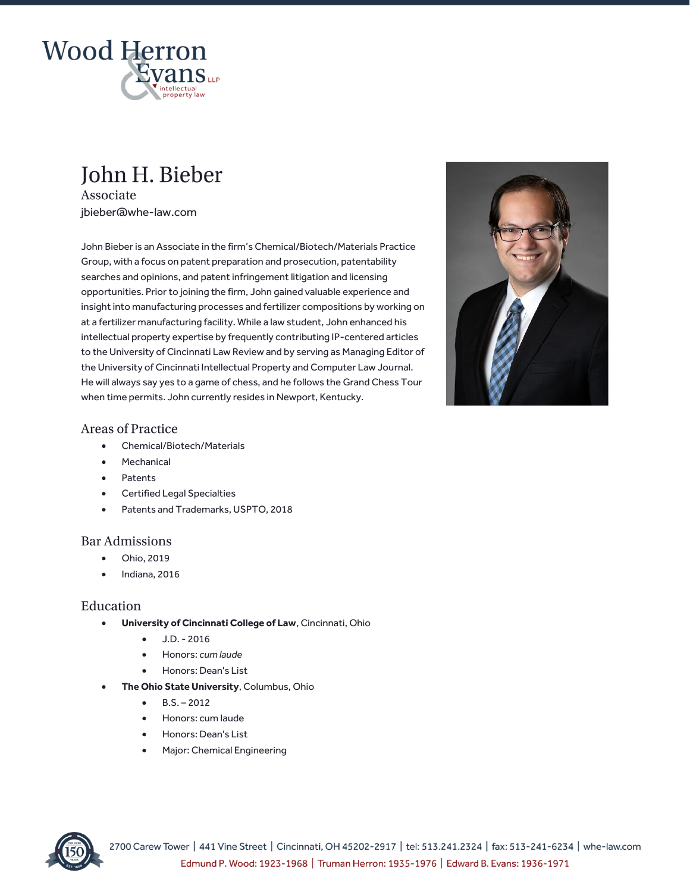

## John H. Bieber

Associate jbieber@whe-law.com

John Bieber is an Associate in the firm's Chemical/Biotech/Materials Practice Group, with a focus on patent preparation and prosecution, patentability searches and opinions, and patent infringement litigation and licensing opportunities. Prior to joining the firm, John gained valuable experience and insight into manufacturing processes and fertilizer compositions by working on at a fertilizer manufacturing facility. While a law student, John enhanced his intellectual property expertise by frequently contributing IP-centered articles to the University of Cincinnati Law Review and by serving as Managing Editor of the University of Cincinnati Intellectual Property and Computer Law Journal. He will always say yes to a game of chess, and he follows the Grand Chess Tour when time permits. John currently resides in Newport, Kentucky.



## **Areas of Practice**

- Chemical/Biotech/Materials
- **Mechanical**
- Patents
- Certified Legal Specialties
- Patents and Trademarks, USPTO, 2018

## **Bar Admissions**

- Ohio, 2019
- Indiana, 2016

## Education

- **University of Cincinnati College of Law**, Cincinnati, Ohio
	- J.D. 2016
	- Honors: *cum laude*
	- Honors: Dean's List
- **The Ohio State University**, Columbus, Ohio
	- $-B.S. 2012$
	- Honors: cum laude
	- Honors: Dean's List
	- Major: Chemical Engineering